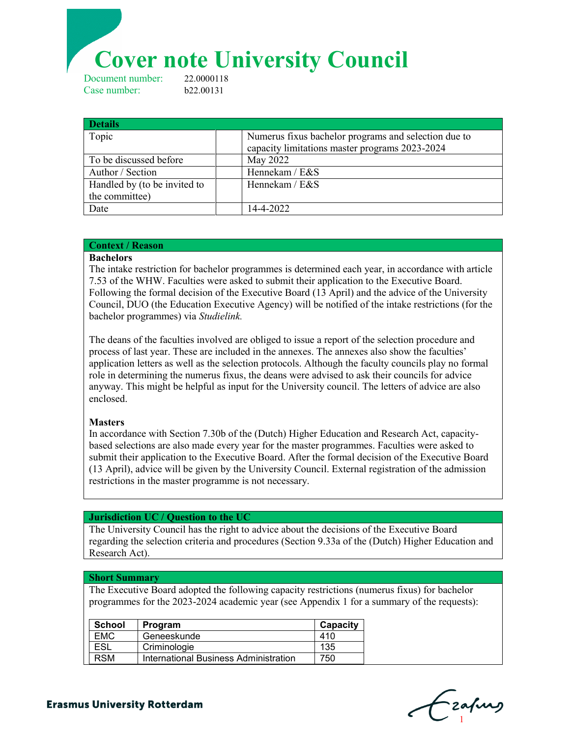**Cover note University Council**<br>Decument number: 22.0000118

Document number: Case number: b22.00131

| <b>Details</b>               |                                                      |  |  |  |
|------------------------------|------------------------------------------------------|--|--|--|
| Topic                        | Numerus fixus bachelor programs and selection due to |  |  |  |
|                              | capacity limitations master programs 2023-2024       |  |  |  |
| To be discussed before       | May 2022                                             |  |  |  |
| Author / Section             | Hennekam / E&S                                       |  |  |  |
| Handled by (to be invited to | Hennekam / E&S                                       |  |  |  |
| the committee)               |                                                      |  |  |  |
| Date                         | 14-4-2022                                            |  |  |  |

# **Context / Reason**

#### **Bachelors**

The intake restriction for bachelor programmes is determined each year, in accordance with article 7.53 of the WHW. Faculties were asked to submit their application to the Executive Board. Following the formal decision of the Executive Board (13 April) and the advice of the University Council, DUO (the Education Executive Agency) will be notified of the intake restrictions (for the bachelor programmes) via *Studielink.*

The deans of the faculties involved are obliged to issue a report of the selection procedure and process of last year. These are included in the annexes. The annexes also show the faculties' application letters as well as the selection protocols. Although the faculty councils play no formal role in determining the numerus fixus, the deans were advised to ask their councils for advice anyway. This might be helpful as input for the University council. The letters of advice are also enclosed.

## **Masters**

In accordance with Section 7.30b of the (Dutch) Higher Education and Research Act, capacitybased selections are also made every year for the master programmes. Faculties were asked to submit their application to the Executive Board. After the formal decision of the Executive Board (13 April), advice will be given by the University Council. External registration of the admission restrictions in the master programme is not necessary.

## **Jurisdiction UC / Question to the UC**

The University Council has the right to advice about the decisions of the Executive Board regarding the selection criteria and procedures (Section 9.33a of the (Dutch) Higher Education and Research Act).

## **Short Summary**

The Executive Board adopted the following capacity restrictions (numerus fixus) for bachelor programmes for the 2023-2024 academic year (see Appendix 1 for a summary of the requests):

| <b>School</b> | Program                               | Capacity |
|---------------|---------------------------------------|----------|
| <b>EMC</b>    | Geneeskunde                           | 410      |
| ESL           | Criminologie                          | 135      |
| RSM           | International Business Administration | 750      |

Lzafurg **Needed:**  $\sum_{i=1}^{n}$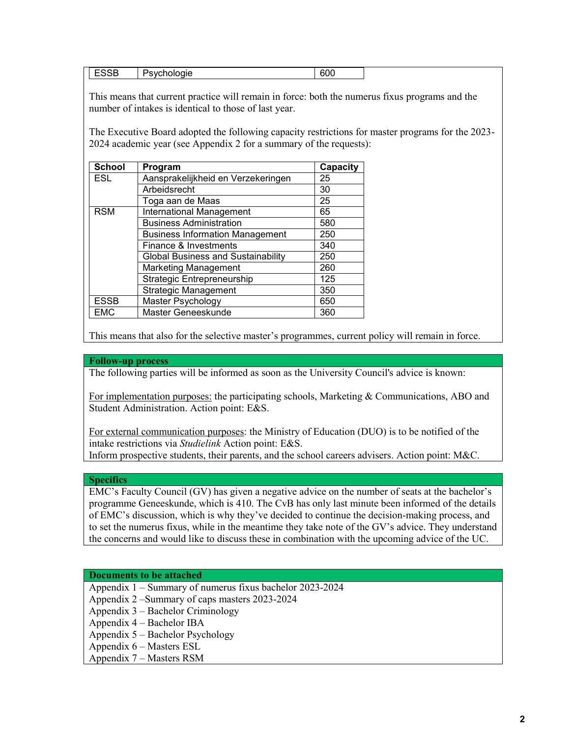|  |  | iologie<br>.<br>.vr<br>…∩olo⊂ | $-$<br>___<br>ם כי<br>-- |
|--|--|-------------------------------|--------------------------|
|--|--|-------------------------------|--------------------------|

This means that current practice will remain in force: both the numerus fixus programs and the number of intakes is identical to those of last year.

The Executive Board adopted the following capacity restrictions for master programs for the 2023- 2024 academic year (see Appendix 2 for a summary of the requests):

| <b>School</b> | Program                                   | Capacity |
|---------------|-------------------------------------------|----------|
| ESL           | Aansprakelijkheid en Verzekeringen        | 25       |
|               | Arbeidsrecht                              | 30       |
|               | Toga aan de Maas                          | 25       |
| <b>RSM</b>    | <b>International Management</b>           | 65       |
|               | <b>Business Administration</b>            | 580      |
|               | <b>Business Information Management</b>    | 250      |
|               | Finance & Investments                     | 340      |
|               | <b>Global Business and Sustainability</b> | 250      |
|               | <b>Marketing Management</b>               | 260      |
|               | Strategic Entrepreneurship                | 125      |
|               | <b>Strategic Management</b>               | 350      |
| <b>ESSB</b>   | Master Psychology                         | 650      |
| EMC           | Master Geneeskunde                        | 360      |

This means that also for the selective master's programmes, current policy will remain in force.

#### **Follow-up process**

The following parties will be informed as soon as the University Council's advice is known:

For implementation purposes: the participating schools, Marketing & Communications, ABO and Student Administration. Action point: E&S.

For external communication purposes: the Ministry of Education (DUO) is to be notified of the intake restrictions via *Studielink* Action point: E&S. Inform prospective students, their parents, and the school careers advisers. Action point: M&C.

#### **Specifics**

EMC's Faculty Council (GV) has given a negative advice on the number of seats at the bachelor's programme Geneeskunde, which is 410. The CvB has only last minute been informed of the details of EMC's discussion, which is why they've decided to continue the decision-making process, and to set the numerus fixus, while in the meantime they take note of the GV's advice. They understand the concerns and would like to discuss these in combination with the upcoming advice of the UC.

## **Documents to be attached**

Appendix 1 – Summary of numerus fixus bachelor 2023-2024

Appendix 2 –Summary of caps masters 2023-2024

- Appendix 3 Bachelor Criminology
- Appendix 4 Bachelor IBA
- Appendix 5 Bachelor Psychology
- Appendix 6 Masters ESL
- Appendix 7 Masters RSM